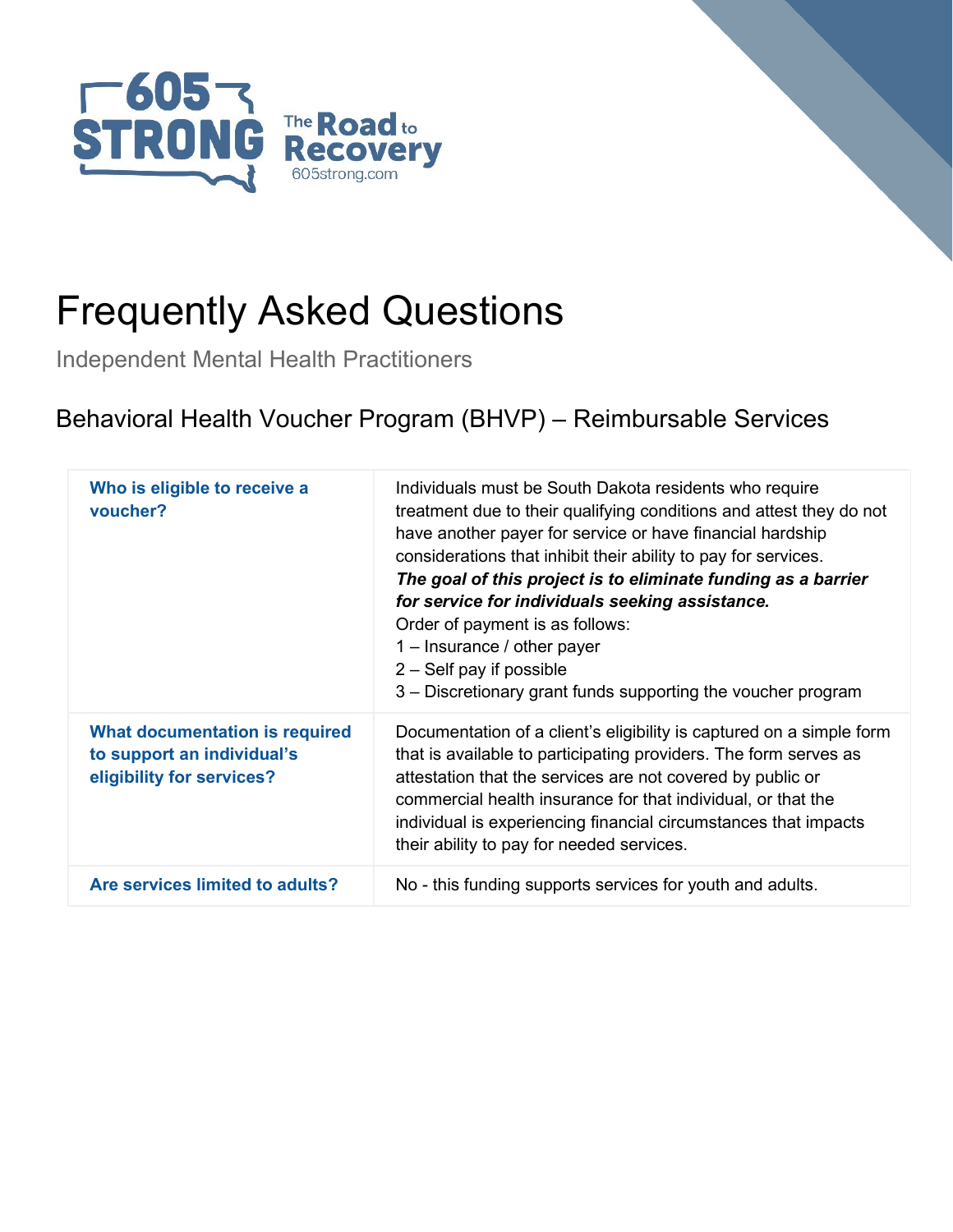



Independent Mental Health Practitioners

## Behavioral Health Voucher Program (BHVP) – Reimbursable Services

| Who is eligible to receive a<br>voucher?                                                  | Individuals must be South Dakota residents who require<br>treatment due to their qualifying conditions and attest they do not<br>have another payer for service or have financial hardship<br>considerations that inhibit their ability to pay for services.<br>The goal of this project is to eliminate funding as a barrier<br>for service for individuals seeking assistance.<br>Order of payment is as follows:<br>$1 -$ Insurance / other payer<br>$2 - Self$ pay if possible<br>3 – Discretionary grant funds supporting the voucher program |
|-------------------------------------------------------------------------------------------|----------------------------------------------------------------------------------------------------------------------------------------------------------------------------------------------------------------------------------------------------------------------------------------------------------------------------------------------------------------------------------------------------------------------------------------------------------------------------------------------------------------------------------------------------|
| What documentation is required<br>to support an individual's<br>eligibility for services? | Documentation of a client's eligibility is captured on a simple form<br>that is available to participating providers. The form serves as<br>attestation that the services are not covered by public or<br>commercial health insurance for that individual, or that the<br>individual is experiencing financial circumstances that impacts<br>their ability to pay for needed services.                                                                                                                                                             |
| Are services limited to adults?                                                           | No - this funding supports services for youth and adults.                                                                                                                                                                                                                                                                                                                                                                                                                                                                                          |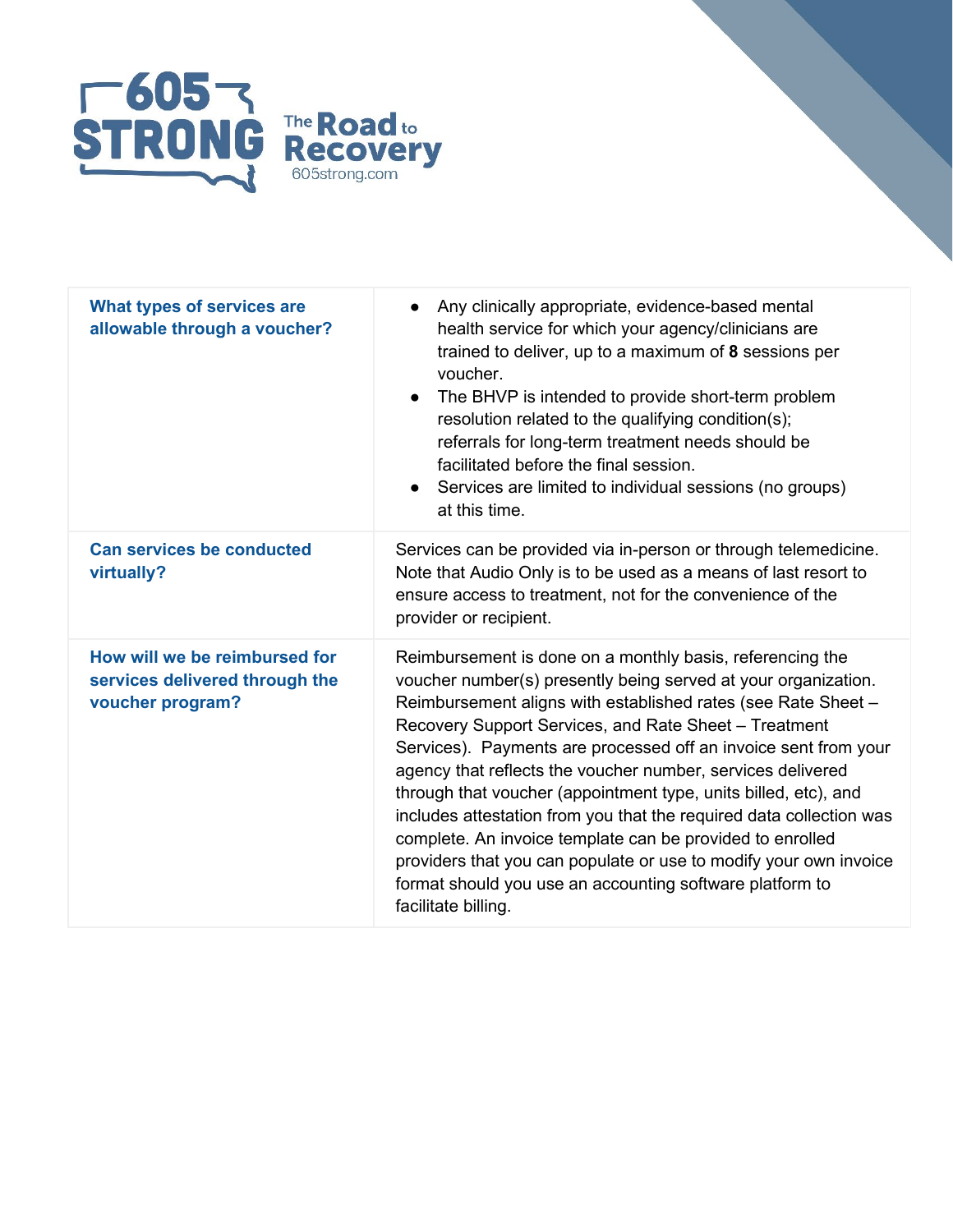

| What types of services are<br>allowable through a voucher?                          | Any clinically appropriate, evidence-based mental<br>health service for which your agency/clinicians are<br>trained to deliver, up to a maximum of 8 sessions per<br>voucher.<br>The BHVP is intended to provide short-term problem<br>$\bullet$<br>resolution related to the qualifying condition(s);<br>referrals for long-term treatment needs should be<br>facilitated before the final session.<br>Services are limited to individual sessions (no groups)<br>at this time.                                                                                                                                                                                                                                                                       |
|-------------------------------------------------------------------------------------|--------------------------------------------------------------------------------------------------------------------------------------------------------------------------------------------------------------------------------------------------------------------------------------------------------------------------------------------------------------------------------------------------------------------------------------------------------------------------------------------------------------------------------------------------------------------------------------------------------------------------------------------------------------------------------------------------------------------------------------------------------|
| <b>Can services be conducted</b><br>virtually?                                      | Services can be provided via in-person or through telemedicine.<br>Note that Audio Only is to be used as a means of last resort to<br>ensure access to treatment, not for the convenience of the<br>provider or recipient.                                                                                                                                                                                                                                                                                                                                                                                                                                                                                                                             |
| How will we be reimbursed for<br>services delivered through the<br>voucher program? | Reimbursement is done on a monthly basis, referencing the<br>voucher number(s) presently being served at your organization.<br>Reimbursement aligns with established rates (see Rate Sheet -<br>Recovery Support Services, and Rate Sheet – Treatment<br>Services). Payments are processed off an invoice sent from your<br>agency that reflects the voucher number, services delivered<br>through that voucher (appointment type, units billed, etc), and<br>includes attestation from you that the required data collection was<br>complete. An invoice template can be provided to enrolled<br>providers that you can populate or use to modify your own invoice<br>format should you use an accounting software platform to<br>facilitate billing. |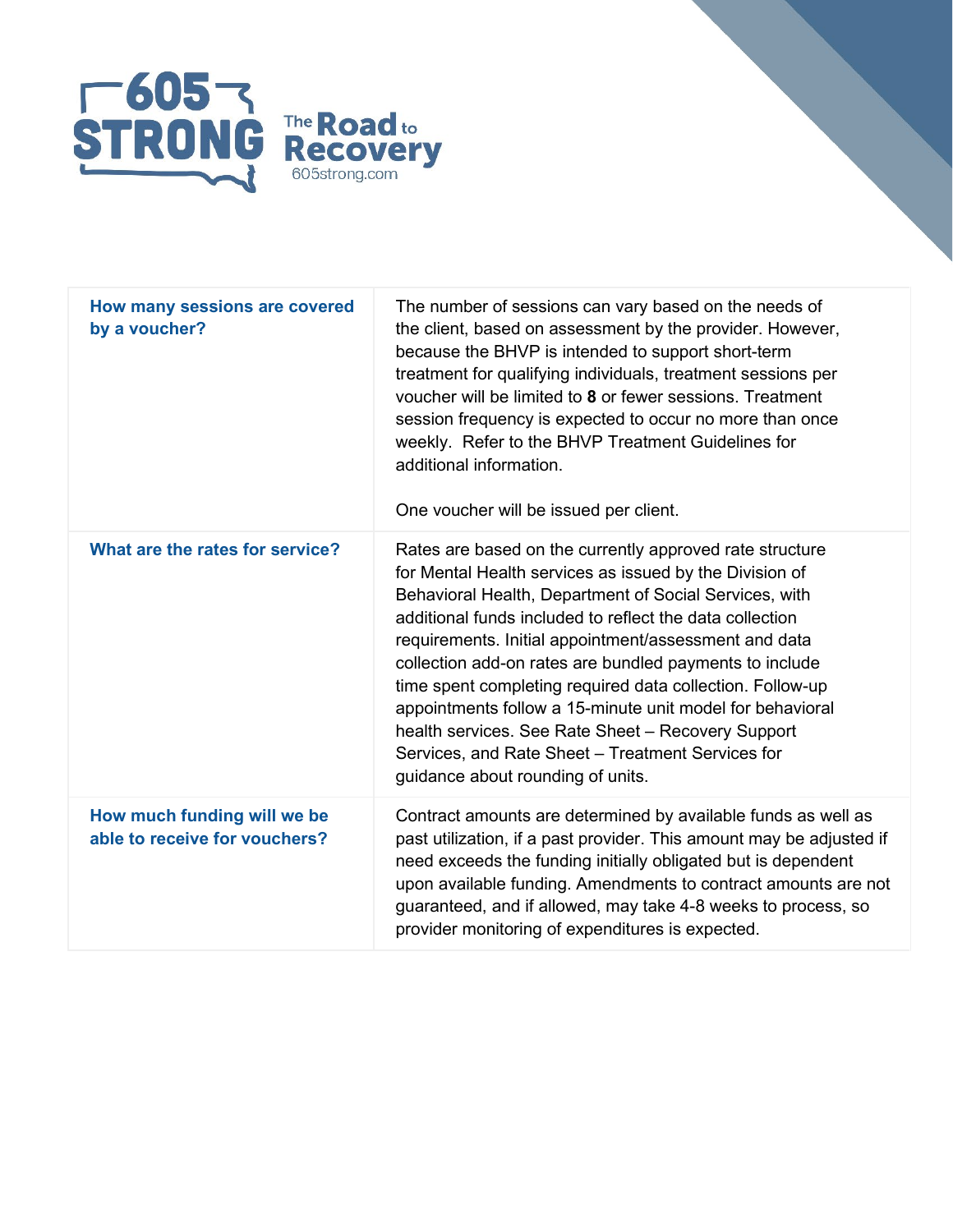

| How many sessions are covered<br>by a voucher?               | The number of sessions can vary based on the needs of<br>the client, based on assessment by the provider. However,<br>because the BHVP is intended to support short-term<br>treatment for qualifying individuals, treatment sessions per<br>voucher will be limited to 8 or fewer sessions. Treatment<br>session frequency is expected to occur no more than once<br>weekly. Refer to the BHVP Treatment Guidelines for<br>additional information.<br>One voucher will be issued per client.                                                                                                                                            |
|--------------------------------------------------------------|-----------------------------------------------------------------------------------------------------------------------------------------------------------------------------------------------------------------------------------------------------------------------------------------------------------------------------------------------------------------------------------------------------------------------------------------------------------------------------------------------------------------------------------------------------------------------------------------------------------------------------------------|
| What are the rates for service?                              | Rates are based on the currently approved rate structure<br>for Mental Health services as issued by the Division of<br>Behavioral Health, Department of Social Services, with<br>additional funds included to reflect the data collection<br>requirements. Initial appointment/assessment and data<br>collection add-on rates are bundled payments to include<br>time spent completing required data collection. Follow-up<br>appointments follow a 15-minute unit model for behavioral<br>health services. See Rate Sheet - Recovery Support<br>Services, and Rate Sheet - Treatment Services for<br>guidance about rounding of units. |
| How much funding will we be<br>able to receive for vouchers? | Contract amounts are determined by available funds as well as<br>past utilization, if a past provider. This amount may be adjusted if<br>need exceeds the funding initially obligated but is dependent<br>upon available funding. Amendments to contract amounts are not<br>guaranteed, and if allowed, may take 4-8 weeks to process, so<br>provider monitoring of expenditures is expected.                                                                                                                                                                                                                                           |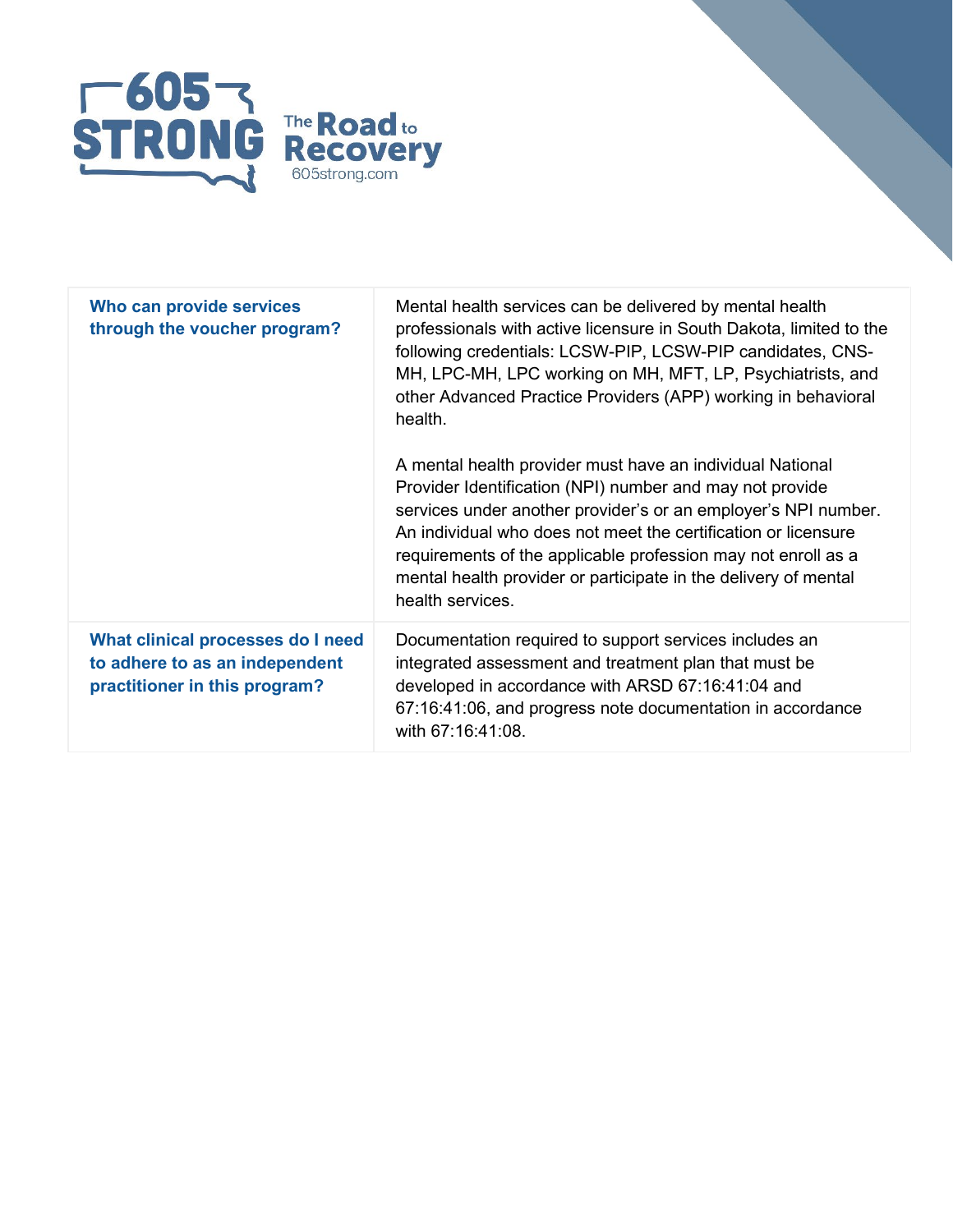

| Who can provide services<br>through the voucher program?                                             | Mental health services can be delivered by mental health<br>professionals with active licensure in South Dakota, limited to the<br>following credentials: LCSW-PIP, LCSW-PIP candidates, CNS-<br>MH, LPC-MH, LPC working on MH, MFT, LP, Psychiatrists, and<br>other Advanced Practice Providers (APP) working in behavioral<br>health.                                                                           |
|------------------------------------------------------------------------------------------------------|-------------------------------------------------------------------------------------------------------------------------------------------------------------------------------------------------------------------------------------------------------------------------------------------------------------------------------------------------------------------------------------------------------------------|
|                                                                                                      | A mental health provider must have an individual National<br>Provider Identification (NPI) number and may not provide<br>services under another provider's or an employer's NPI number.<br>An individual who does not meet the certification or licensure<br>requirements of the applicable profession may not enroll as a<br>mental health provider or participate in the delivery of mental<br>health services. |
| What clinical processes do I need<br>to adhere to as an independent<br>practitioner in this program? | Documentation required to support services includes an<br>integrated assessment and treatment plan that must be<br>developed in accordance with ARSD 67:16:41:04 and<br>67:16:41:06, and progress note documentation in accordance<br>with 67:16:41:08.                                                                                                                                                           |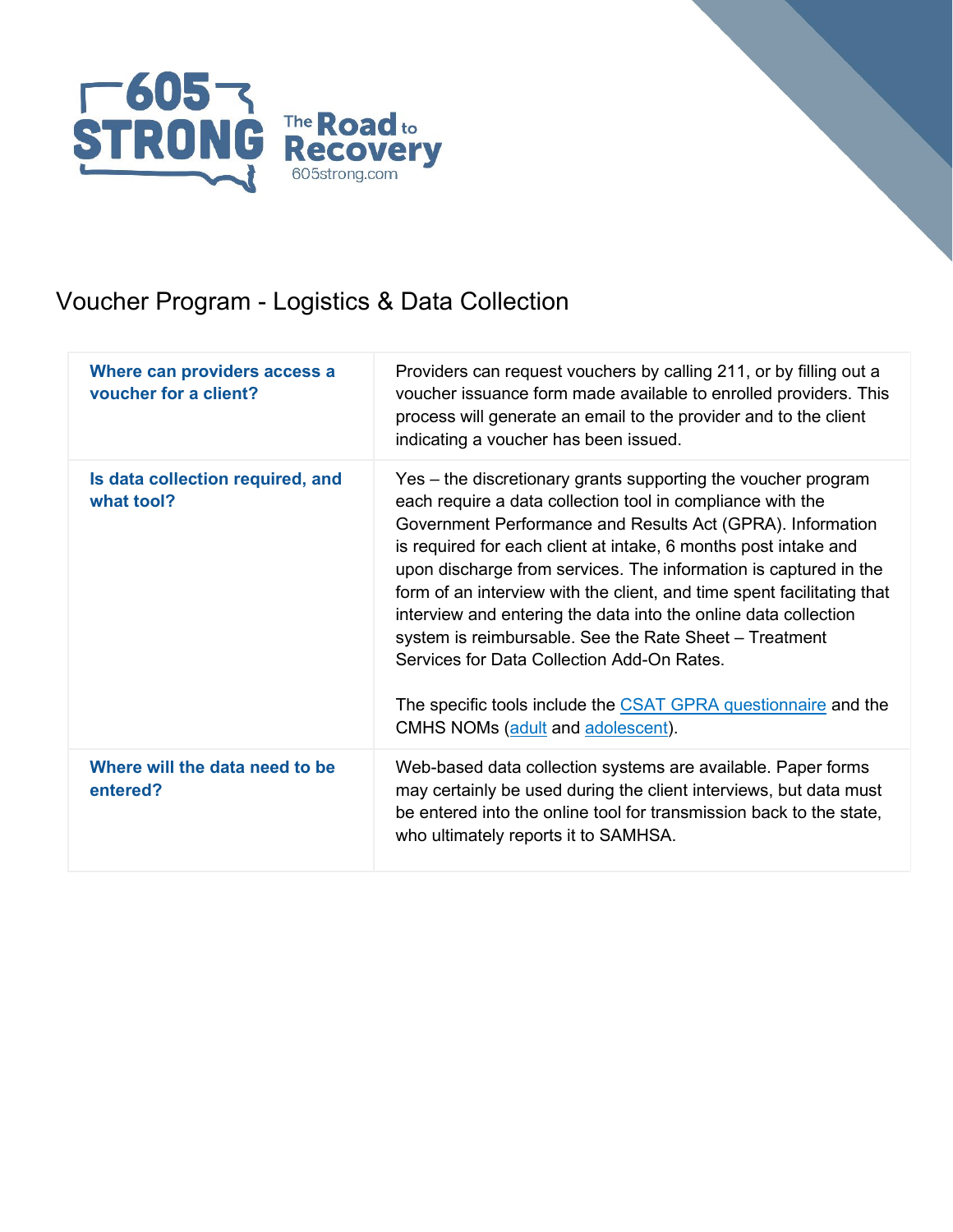

## Voucher Program - Logistics & Data Collection

| Where can providers access a<br>voucher for a client? | Providers can request vouchers by calling 211, or by filling out a<br>voucher issuance form made available to enrolled providers. This<br>process will generate an email to the provider and to the client<br>indicating a voucher has been issued.                                                                                                                                                                                                                                                                                                                                                                                                                                          |
|-------------------------------------------------------|----------------------------------------------------------------------------------------------------------------------------------------------------------------------------------------------------------------------------------------------------------------------------------------------------------------------------------------------------------------------------------------------------------------------------------------------------------------------------------------------------------------------------------------------------------------------------------------------------------------------------------------------------------------------------------------------|
| Is data collection required, and<br>what tool?        | Yes – the discretionary grants supporting the voucher program<br>each require a data collection tool in compliance with the<br>Government Performance and Results Act (GPRA). Information<br>is required for each client at intake, 6 months post intake and<br>upon discharge from services. The information is captured in the<br>form of an interview with the client, and time spent facilitating that<br>interview and entering the data into the online data collection<br>system is reimbursable. See the Rate Sheet - Treatment<br>Services for Data Collection Add-On Rates.<br>The specific tools include the CSAT GPRA questionnaire and the<br>CMHS NOMs (adult and adolescent). |
| Where will the data need to be<br>entered?            | Web-based data collection systems are available. Paper forms<br>may certainly be used during the client interviews, but data must<br>be entered into the online tool for transmission back to the state,<br>who ultimately reports it to SAMHSA.                                                                                                                                                                                                                                                                                                                                                                                                                                             |